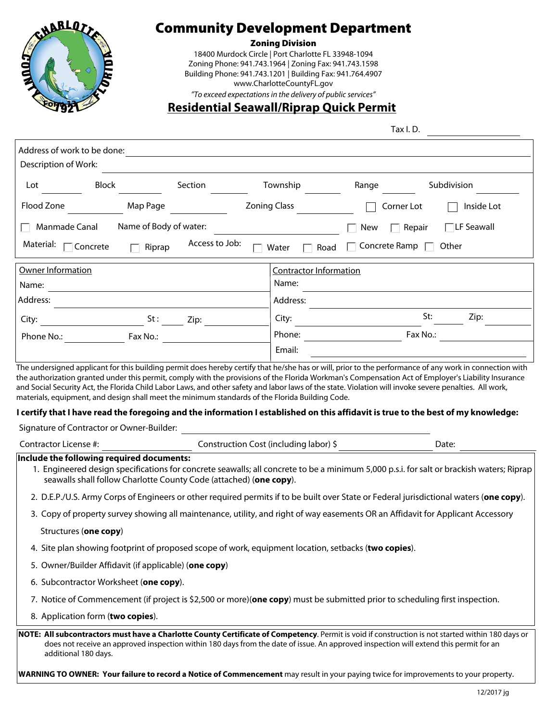

#### Zoning Division

18400 Murdock Circle | Port Charlotte FL 33948-1094 Zoning Phone: 941.743.1964 | Zoning Fax: 941.743.1598 Building Phone: 941.743.1201 | Building Fax: 941.764.4907 www.CharlotteCountyFL.gov *"To exceed expectations in the delivery of public services"*

### **Residential Seawall/Riprap Quick Permit**

Tax I. D.

| Address of work to be done:<br><u> 1989 - John Stein, Amerikaansk politiker (</u>                                                                                                                              |                                                                                                                                                                                                                                                                                            |  |  |  |
|----------------------------------------------------------------------------------------------------------------------------------------------------------------------------------------------------------------|--------------------------------------------------------------------------------------------------------------------------------------------------------------------------------------------------------------------------------------------------------------------------------------------|--|--|--|
| Description of Work:<br>Block<br>Section<br>Lot                                                                                                                                                                | Township<br>Range<br>Subdivision                                                                                                                                                                                                                                                           |  |  |  |
|                                                                                                                                                                                                                |                                                                                                                                                                                                                                                                                            |  |  |  |
| Flood Zone<br>Map Page                                                                                                                                                                                         | <b>Zoning Class</b><br>Inside Lot<br>Corner Lot                                                                                                                                                                                                                                            |  |  |  |
| Name of Body of water:<br>Manmade Canal                                                                                                                                                                        | $\Box$ LF Seawall<br>$\Box$ Repair<br>New                                                                                                                                                                                                                                                  |  |  |  |
| Access to Job:<br>Material: □ Concrete<br>Riprap                                                                                                                                                               | $\Box$ Concrete Ramp $\Box$ Other<br>Water<br>Road                                                                                                                                                                                                                                         |  |  |  |
| Owner Information                                                                                                                                                                                              | <b>Contractor Information</b>                                                                                                                                                                                                                                                              |  |  |  |
| Name:<br><u> 1980 - Andrea Station Barbara, amerikan personal (h. 1980).</u>                                                                                                                                   | Name:                                                                                                                                                                                                                                                                                      |  |  |  |
| Address:                                                                                                                                                                                                       | Address:                                                                                                                                                                                                                                                                                   |  |  |  |
| $St:$ Zip:<br>City:                                                                                                                                                                                            | St:<br>Zip:<br>City: $\qquad \qquad$                                                                                                                                                                                                                                                       |  |  |  |
| Phone No.: <b>Example 2</b>                                                                                                                                                                                    | Fax No.:                                                                                                                                                                                                                                                                                   |  |  |  |
|                                                                                                                                                                                                                | Email:                                                                                                                                                                                                                                                                                     |  |  |  |
| Signature of Contractor or Owner-Builder:<br><u> and</u> the contractor or Owner-Builder:                                                                                                                      | I certify that I have read the foregoing and the information I established on this affidavit is true to the best of my knowledge:<br>Date: $\qquad \qquad$                                                                                                                                 |  |  |  |
| Include the following required documents:                                                                                                                                                                      |                                                                                                                                                                                                                                                                                            |  |  |  |
| 1. Engineered design specifications for concrete seawalls; all concrete to be a minimum 5,000 p.s.i. for salt or brackish waters; Riprap<br>seawalls shall follow Charlotte County Code (attached) (one copy). |                                                                                                                                                                                                                                                                                            |  |  |  |
| 2. D.E.P./U.S. Army Corps of Engineers or other required permits if to be built over State or Federal jurisdictional waters (one copy).                                                                        |                                                                                                                                                                                                                                                                                            |  |  |  |
| 3. Copy of property survey showing all maintenance, utility, and right of way easements OR an Affidavit for Applicant Accessory                                                                                |                                                                                                                                                                                                                                                                                            |  |  |  |
| Structures (one copy)                                                                                                                                                                                          |                                                                                                                                                                                                                                                                                            |  |  |  |
| 4. Site plan showing footprint of proposed scope of work, equipment location, setbacks (two copies).                                                                                                           |                                                                                                                                                                                                                                                                                            |  |  |  |
| 5. Owner/Builder Affidavit (if applicable) (one copy)                                                                                                                                                          |                                                                                                                                                                                                                                                                                            |  |  |  |
| 6. Subcontractor Worksheet (one copy).                                                                                                                                                                         |                                                                                                                                                                                                                                                                                            |  |  |  |
|                                                                                                                                                                                                                | 7. Notice of Commencement (if project is \$2,500 or more)( <b>one copy</b> ) must be submitted prior to scheduling first inspection.                                                                                                                                                       |  |  |  |
| 8. Application form (two copies).                                                                                                                                                                              |                                                                                                                                                                                                                                                                                            |  |  |  |
| additional 180 days.                                                                                                                                                                                           | NOTE: All subcontractors must have a Charlotte County Certificate of Competency. Permit is void if construction is not started within 180 days or<br>does not receive an approved inspection within 180 days from the date of issue. An approved inspection will extend this permit for an |  |  |  |
|                                                                                                                                                                                                                | WARNING TO OWNER: Your failure to record a Notice of Commencement may result in your paying twice for improvements to your property.                                                                                                                                                       |  |  |  |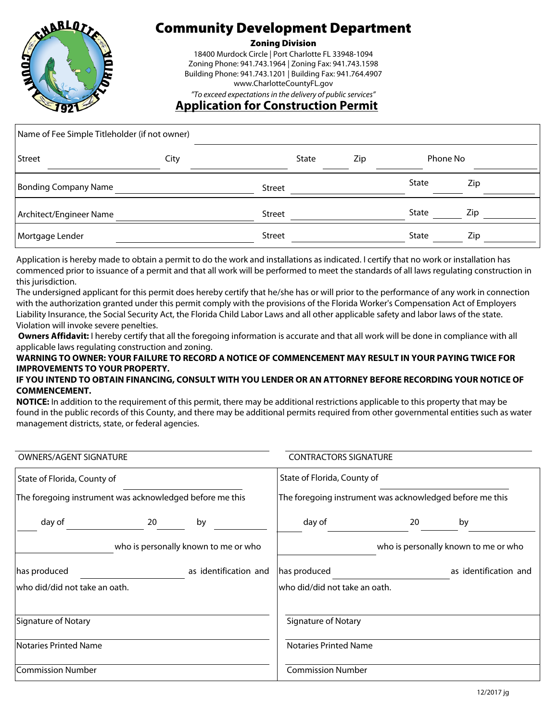

#### Zoning Division

18400 Murdock Circle | Port Charlotte FL 33948-1094 Zoning Phone: 941.743.1964 | Zoning Fax: 941.743.1598 Building Phone: 941.743.1201 | Building Fax: 941.764.4907 www.CharlotteCountyFL.gov *"To exceed expectations in the delivery of public services"*

**Application for Construction Permit** 

| Name of Fee Simple Titleholder (if not owner) |      |               |              |     |              |     |
|-----------------------------------------------|------|---------------|--------------|-----|--------------|-----|
| Street                                        | City |               | <b>State</b> | Zip | Phone No     |     |
| Bonding Company Name                          |      | Street        |              |     | State        | Zip |
| Architect/Engineer Name                       |      | <b>Street</b> |              |     | <b>State</b> | Zip |
| Mortgage Lender                               |      | <b>Street</b> |              |     | State        | Zip |

Application is hereby made to obtain a permit to do the work and installations as indicated. I certify that no work or installation has commenced prior to issuance of a permit and that all work will be performed to meet the standards of all laws regulating construction in this jurisdiction.

The undersigned applicant for this permit does hereby certify that he/she has or will prior to the performance of any work in connection with the authorization granted under this permit comply with the provisions of the Florida Worker's Compensation Act of Employers Liability Insurance, the Social Security Act, the Florida Child Labor Laws and all other applicable safety and labor laws of the state. Violation will invoke severe penelties.

**Owners Affidavit:** I hereby certify that all the foregoing information is accurate and that all work will be done in compliance with all applicable laws regulating construction and zoning.

#### **WARNING TO OWNER: YOUR FAILURE TO RECORD A NOTICE OF COMMENCEMENT MAY RESULT IN YOUR PAYING TWICE FOR IMPROVEMENTS TO YOUR PROPERTY.**

#### **IF YOU INTEND TO OBTAIN FINANCING, CONSULT WITH YOU LENDER OR AN ATTORNEY BEFORE RECORDING YOUR NOTICE OF COMMENCEMENT.**

**NOTICE:** In addition to the requirement of this permit, there may be additional restrictions applicable to this property that may be found in the public records of this County, and there may be additional permits required from other governmental entities such as water management districts, state, or federal agencies.

| <b>OWNERS/AGENT SIGNATURE</b>                                                           |  | <b>CONTRACTORS SIGNATURE</b>                                                            |                               |  |                                      |
|-----------------------------------------------------------------------------------------|--|-----------------------------------------------------------------------------------------|-------------------------------|--|--------------------------------------|
| State of Florida, County of<br>The foregoing instrument was acknowledged before me this |  | State of Florida, County of<br>The foregoing instrument was acknowledged before me this |                               |  |                                      |
|                                                                                         |  |                                                                                         |                               |  |                                      |
|                                                                                         |  | who is personally known to me or who                                                    |                               |  | who is personally known to me or who |
| has produced                                                                            |  | as identification and                                                                   | has produced                  |  | as identification and                |
| who did/did not take an oath.                                                           |  |                                                                                         | who did/did not take an oath. |  |                                      |
| Signature of Notary                                                                     |  |                                                                                         | Signature of Notary           |  |                                      |
| Notaries Printed Name                                                                   |  |                                                                                         | <b>Notaries Printed Name</b>  |  |                                      |
| Commission Number                                                                       |  |                                                                                         | <b>Commission Number</b>      |  |                                      |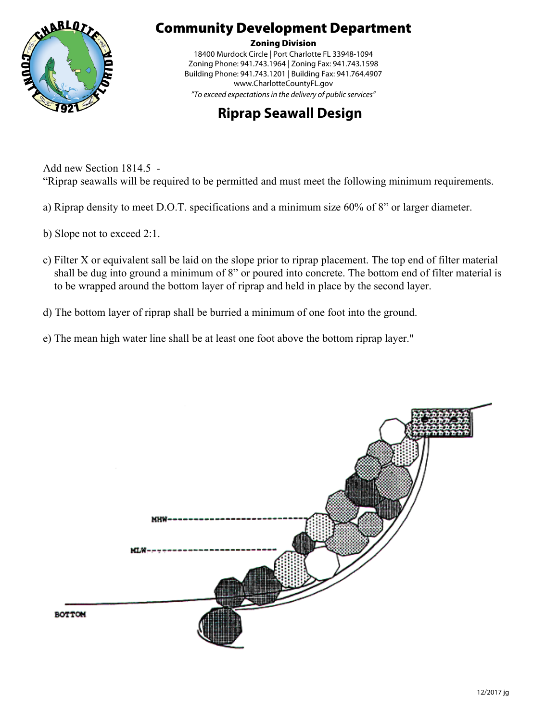

Zoning Division

18400 Murdock Circle | Port Charlotte FL 33948-1094 Zoning Phone: 941.743.1964 | Zoning Fax: 941.743.1598 Building Phone: 941.743.1201 | Building Fax: 941.764.4907 www.CharlotteCountyFL.gov *"To exceed expectations in the delivery of public services"*

## **Riprap Seawall Design**

Add new Section 1814.5 - "Riprap seawalls will be required to be permitted and must meet the following minimum requirements.

- a) Riprap density to meet D.O.T. specifications and a minimum size 60% of 8" or larger diameter.
- b) Slope not to exceed 2:1.
- c) Filter X or equivalent sall be laid on the slope prior to riprap placement. The top end of filter material shall be dug into ground a minimum of 8" or poured into concrete. The bottom end of filter material is to be wrapped around the bottom layer of riprap and held in place by the second layer.
- d) The bottom layer of riprap shall be burried a minimum of one foot into the ground.
- e) The mean high water line shall be at least one foot above the bottom riprap layer."